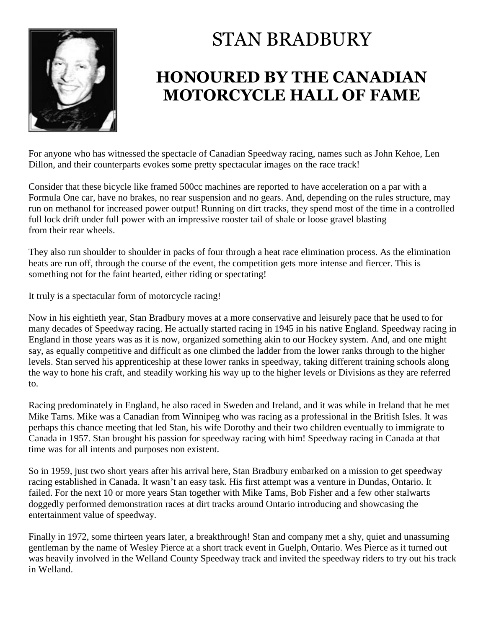

## STAN BRADBURY

## **HONOURED BY THE CANADIAN MOTORCYCLE HALL OF FAME**

For anyone who has witnessed the spectacle of Canadian Speedway racing, names such as John Kehoe, Len Dillon, and their counterparts evokes some pretty spectacular images on the race track!

Consider that these bicycle like framed 500cc machines are reported to have acceleration on a par with a Formula One car, have no brakes, no rear suspension and no gears. And, depending on the rules structure, may run on methanol for increased power output! Running on dirt tracks, they spend most of the time in a controlled full lock drift under full power with an impressive rooster tail of shale or loose gravel blasting from their rear wheels.

They also run shoulder to shoulder in packs of four through a heat race elimination process. As the elimination heats are run off, through the course of the event, the competition gets more intense and fiercer. This is something not for the faint hearted, either riding or spectating!

It truly is a spectacular form of motorcycle racing!

Now in his eightieth year, Stan Bradbury moves at a more conservative and leisurely pace that he used to for many decades of Speedway racing. He actually started racing in 1945 in his native England. Speedway racing in England in those years was as it is now, organized something akin to our Hockey system. And, and one might say, as equally competitive and difficult as one climbed the ladder from the lower ranks through to the higher levels. Stan served his apprenticeship at these lower ranks in speedway, taking different training schools along the way to hone his craft, and steadily working his way up to the higher levels or Divisions as they are referred to.

Racing predominately in England, he also raced in Sweden and Ireland, and it was while in Ireland that he met Mike Tams. Mike was a Canadian from Winnipeg who was racing as a professional in the British Isles. It was perhaps this chance meeting that led Stan, his wife Dorothy and their two children eventually to immigrate to Canada in 1957. Stan brought his passion for speedway racing with him! Speedway racing in Canada at that time was for all intents and purposes non existent.

So in 1959, just two short years after his arrival here, Stan Bradbury embarked on a mission to get speedway racing established in Canada. It wasn't an easy task. His first attempt was a venture in Dundas, Ontario. It failed. For the next 10 or more years Stan together with Mike Tams, Bob Fisher and a few other stalwarts doggedly performed demonstration races at dirt tracks around Ontario introducing and showcasing the entertainment value of speedway.

Finally in 1972, some thirteen years later, a breakthrough! Stan and company met a shy, quiet and unassuming gentleman by the name of Wesley Pierce at a short track event in Guelph, Ontario. Wes Pierce as it turned out was heavily involved in the Welland County Speedway track and invited the speedway riders to try out his track in Welland.